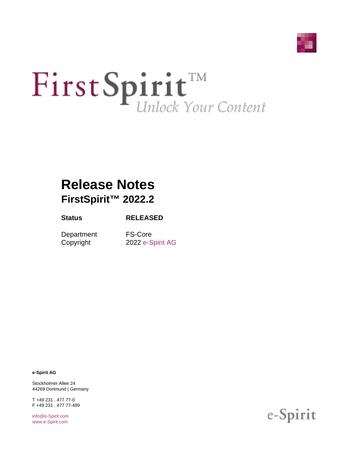

# First Spirit<sup>TM</sup>

# **Release Notes FirstSpirit™ 2022.2**

### **Status RELEASED**

Department FS-Core

Copyright 2022 [e-Spirit AG](http://www.e-Spirit.com)

**e-Spirit AG**

Stockholmer Allee 24 44269 Dortmund | Germany

T +49 231 . 477 77-0 F +49 231 . 477 77-499

[info@e-Spirit.com](mailto:info@e-Spirit.com) [www.e-Spirit.com](http://www.e-Spirit.com)

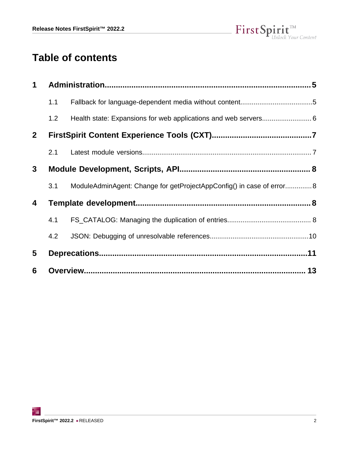

# **Table of contents**

| 1               |     |                                                                       |  |
|-----------------|-----|-----------------------------------------------------------------------|--|
|                 | 1.1 |                                                                       |  |
|                 | 1.2 |                                                                       |  |
| $\mathbf{2}$    |     |                                                                       |  |
|                 | 2.1 |                                                                       |  |
| $3\phantom{.0}$ |     |                                                                       |  |
|                 | 3.1 | ModuleAdminAgent: Change for getProjectAppConfig() in case of error 8 |  |
| 4               |     |                                                                       |  |
|                 | 4.1 |                                                                       |  |
|                 | 4.2 |                                                                       |  |
| 5               |     |                                                                       |  |
| 6               |     |                                                                       |  |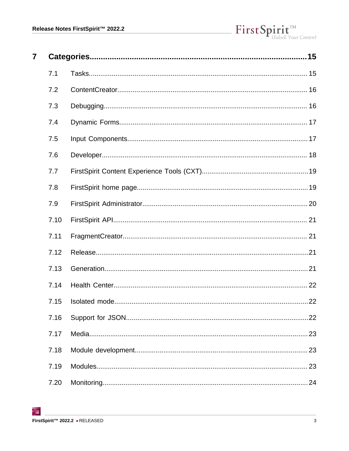| $\overline{\mathbf{7}}$ |      |    |
|-------------------------|------|----|
|                         | 7.1  |    |
|                         | 7.2  |    |
|                         | 7.3  |    |
|                         | 7.4  |    |
|                         | 7.5  |    |
|                         | 7.6  |    |
|                         | 7.7  |    |
|                         | 7.8  |    |
|                         | 7.9  |    |
|                         | 7.10 |    |
|                         | 7.11 |    |
|                         | 7.12 |    |
|                         | 7.13 |    |
|                         | 7.14 |    |
|                         | 7.15 |    |
|                         | 7.16 |    |
|                         | 7.17 |    |
|                         | 7.18 |    |
|                         | 7.19 | 23 |
|                         | 7.20 |    |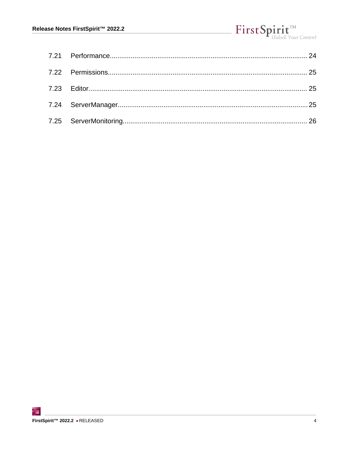# First Spirit<sup>™</sup>

|  |  | <sup>-</sup> Unlock Your Content |
|--|--|----------------------------------|
|  |  |                                  |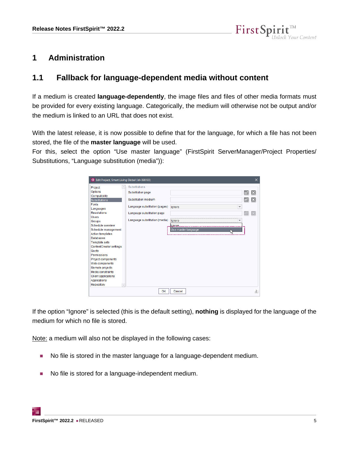

### <span id="page-4-0"></span>**1 Administration**

### <span id="page-4-1"></span>**1.1 Fallback for language-dependent media without content**

If a medium is created **language-dependently**, the image files and files of other media formats must be provided for every existing language. Categorically, the medium will otherwise not be output and/or the medium is linked to an URL that does not exist.

With the latest release, it is now possible to define that for the language, for which a file has not been stored, the file of the **master language** will be used.

For this, select the option "Use master language" (FirstSpirit ServerManager/Project Properties/ Substitutions, "Language substitution (media")):

| C Edit Project, Smart Living Global (id=398193) |                               |                                    |    | $\times$      |
|-------------------------------------------------|-------------------------------|------------------------------------|----|---------------|
| $\Delta$<br>Project                             | Substitutions                 |                                    |    |               |
| Options                                         | <b>Substitution page</b>      |                                    | B, | ×             |
| Compatibility                                   |                               |                                    |    |               |
| Substitutions                                   | Substitution medium           |                                    | B  | ΙX            |
| <b>Fonts</b>                                    | Language substitution (pages) | $\overline{\phantom{a}}$           |    |               |
| Languages                                       |                               | lanore                             |    |               |
| <b>Resolutions</b>                              | Language substitution page    |                                    |    |               |
| <b>Users</b>                                    |                               |                                    |    |               |
| <b>Groups</b>                                   | Language substitution (media) | lanore<br>$\overline{\phantom{a}}$ |    |               |
| Schedule overview                               |                               | llanore.                           |    |               |
| Schedule management                             |                               | Use master language                |    |               |
| <b>Action templates</b>                         |                               |                                    |    |               |
| <b>Databases</b>                                |                               |                                    |    |               |
| <b>Template sets</b>                            |                               |                                    |    |               |
| ContentCreator settings                         |                               |                                    |    |               |
| Quota                                           |                               |                                    |    |               |
| Permissions                                     |                               |                                    |    |               |
| Project components                              |                               |                                    |    |               |
| Web components                                  |                               |                                    |    |               |
| Remote projects                                 |                               |                                    |    |               |
| Media constraints                               |                               |                                    |    |               |
| <b>Client applications</b>                      |                               |                                    |    |               |
| <b>Applications</b>                             |                               |                                    |    |               |
| Repository<br>$\mathbf{v}$                      |                               |                                    |    |               |
|                                                 | OK                            | Cancel                             |    | $\frac{2}{3}$ |

If the option "Ignore" is selected (this is the default setting), **nothing** is displayed for the language of the medium for which no file is stored.

Note: a medium will also not be displayed in the following cases:

- No file is stored in the master language for a language-dependent medium.
- No file is stored for a language-independent medium.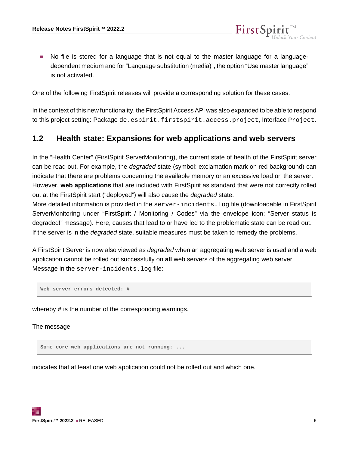■ No file is stored for a language that is not equal to the master language for a languagedependent medium and for "Language substitution (media)", the option "Use master language" is not activated.

FirstSp

One of the following FirstSpirit releases will provide a corresponding solution for these cases.

In the context of this new functionality, the FirstSpirit Access API was also expanded to be able to respond to this project setting: Package de.espirit.firstspirit.access.project, Interface Project.

### <span id="page-5-0"></span>**1.2 Health state: Expansions for web applications and web servers**

In the "Health Center" (FirstSpirit ServerMonitoring), the current state of health of the FirstSpirit server can be read out. For example, the degraded state (symbol: exclamation mark on red background) can indicate that there are problems concerning the available memory or an excessive load on the server. However, **web applications** that are included with FirstSpirit as standard that were not correctly rolled out at the FirstSpirit start ("deployed") will also cause the degraded state.

More detailed information is provided in the server-incidents. log file (downloadable in FirstSpirit ServerMonitoring under "FirstSpirit / Monitoring / Codes" via the envelope icon; "Server status is degraded!" message). Here, causes that lead to or have led to the problematic state can be read out. If the server is in the *degraded* state, suitable measures must be taken to remedy the problems.

A FirstSpirit Server is now also viewed as *degraded* when an aggregating web server is used and a web application cannot be rolled out successfully on **all** web servers of the aggregating web server. Message in the server-incidents.log file:

**Web server errors detected: #**

whereby # is the number of the corresponding warnings.

The message

**Some core web applications are not running: ...**

indicates that at least one web application could not be rolled out and which one.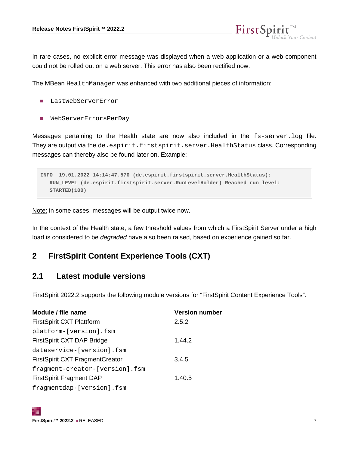FirstSpi

In rare cases, no explicit error message was displayed when a web application or a web component could not be rolled out on a web server. This error has also been rectified now.

The MBean HealthManager was enhanced with two additional pieces of information:

- LastWebServerError
- WebServerErrorsPerDay

Messages pertaining to the Health state are now also included in the fs-server.log file. They are output via the de.espirit.firstspirit.server.HealthStatus class. Corresponding messages can thereby also be found later on. Example:

```
INFO 19.01.2022 14:14:47.570 (de.espirit.firstspirit.server.HealthStatus): 
   RUN_LEVEL (de.espirit.firstspirit.server.RunLevelHolder) Reached run level:
   STARTED(100)
```
Note: in some cases, messages will be output twice now.

In the context of the Health state, a few threshold values from which a FirstSpirit Server under a high load is considered to be *degraded* have also been raised, based on experience gained so far.

### <span id="page-6-0"></span>**2 FirstSpirit Content Experience Tools (CXT)**

### <span id="page-6-1"></span>**2.1 Latest module versions**

FirstSpirit 2022.2 supports the following module versions for "FirstSpirit Content Experience Tools".

| Module / file name                     | <b>Version number</b> |
|----------------------------------------|-----------------------|
| <b>FirstSpirit CXT Plattform</b>       | 2.5.2                 |
| platform-[version].fsm                 |                       |
| FirstSpirit CXT DAP Bridge             | 1.44.2                |
| dataservice-[version].fsm              |                       |
| <b>FirstSpirit CXT FragmentCreator</b> | 3.4.5                 |
| fragment-creator-[version].fsm         |                       |
| <b>FirstSpirit Fragment DAP</b>        | 1.40.5                |
| fragmentdap-[version].fsm              |                       |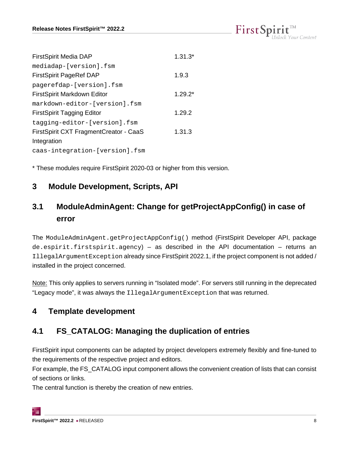|  |  | $\mathsf{FirstSpint}^{\scriptscriptstyle \mathrm{int}}_{\scriptscriptstyle \mathrm{Unlock\,Your\, Content}}$ |
|--|--|--------------------------------------------------------------------------------------------------------------|
|  |  |                                                                                                              |

| <b>FirstSpirit Media DAP</b>           | $1.31.3*$ |
|----------------------------------------|-----------|
| mediadap-[version].fsm                 |           |
| <b>FirstSpirit PageRef DAP</b>         | 1.9.3     |
| pagerefdap-[version].fsm               |           |
| FirstSpirit Markdown Editor            | $1.29.2*$ |
| markdown-editor-[version].fsm          |           |
| <b>FirstSpirit Tagging Editor</b>      | 1.29.2    |
| tagging-editor-[version].fsm           |           |
| FirstSpirit CXT FragmentCreator - CaaS | 1.31.3    |
| Integration                            |           |
| caas-integration-[version].fsm         |           |

\* These modules require FirstSpirit 2020-03 or higher from this version.

### <span id="page-7-0"></span>**3 Module Development, Scripts, API**

# <span id="page-7-1"></span>**3.1 ModuleAdminAgent: Change for getProjectAppConfig() in case of error**

The ModuleAdminAgent.getProjectAppConfig() method (FirstSpirit Developer API, package de.espirit.firstspirit.agency) – as described in the API documentation – returns an IllegalArgumentException already since FirstSpirit 2022.1, if the project component is not added / installed in the project concerned.

Note: This only applies to servers running in "Isolated mode". For servers still running in the deprecated "Legacy mode", it was always the IllegalArgumentException that was returned.

# <span id="page-7-2"></span>**4 Template development**

# <span id="page-7-3"></span>**4.1 FS\_CATALOG: Managing the duplication of entries**

FirstSpirit input components can be adapted by project developers extremely flexibly and fine-tuned to the requirements of the respective project and editors.

For example, the FS\_CATALOG input component allows the convenient creation of lists that can consist of sections or links.

The central function is thereby the creation of new entries.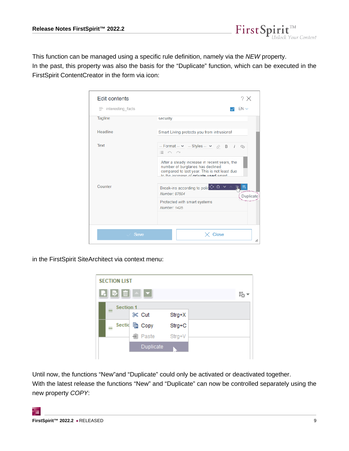This function can be managed using a specific rule definition, namely via the NEW property. In the past, this property was also the basis for the "Duplicate" function, which can be executed in the FirstSpirit ContentCreator in the form via icon:

FirstSpir

 $\prod_{\text{Inlock Your Content}}$ 

| <b>Edit contents</b>       | ? X                                                                                                                                                                                                                                                     |
|----------------------------|---------------------------------------------------------------------------------------------------------------------------------------------------------------------------------------------------------------------------------------------------------|
| $\equiv$ interesting facts | $EN \vee$                                                                                                                                                                                                                                               |
| Tagline                    | security                                                                                                                                                                                                                                                |
| Headline                   | Smart Living protects you from intrusions!                                                                                                                                                                                                              |
| Text                       | -- Format -- $\vee$ -- Styles -- $\vee$ $\otimes$ B I<br>$Q_2$<br>$\Xi$ n<br>After a steady increase in recent years, the<br>number of burglaries has declined<br>compared to last year. This is not least due<br>to the increase of private used smart |
| Counter                    | Break-ins according to polic <sup>Q</sup> <b>D</b><br>Number: 97504<br>Protected with smart systems<br>Number: 1425                                                                                                                                     |
| <b>Save</b>                | Close<br>h                                                                                                                                                                                                                                              |

in the FirstSpirit SiteArchitect via context menu:



Until now, the functions "New"and "Duplicate" could only be activated or deactivated together. With the latest release the functions "New" and "Duplicate" can now be controlled separately using the new property COPY: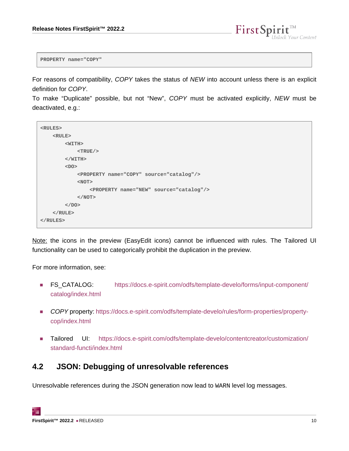

**PROPERTY name="COPY"**

For reasons of compatibility, COPY takes the status of NEW into account unless there is an explicit definition for COPY.

To make "Duplicate" possible, but not "New", COPY must be activated explicitly, NEW must be deactivated, e.g.:

```
<RULES>
     <RULE>
         <WITH>
              <TRUE/>
         </WITH>
         <DO>
              <PROPERTY name="COPY" source="catalog"/>
              <NOT>
                   <PROPERTY name="NEW" source="catalog"/>
              </NOT>
         </DO>
     </RULE>
</RULES>
```
Note: the icons in the preview (EasyEdit icons) cannot be influenced with rules. The Tailored UI functionality can be used to categorically prohibit the duplication in the preview.

For more information, see:

- FS\_CATALOG: [https://docs.e-spirit.com/odfs/template-develo/forms/input-component/](https://docs.e-spirit.com/odfs/template-develo/forms/input-component/catalog/index.html) [catalog/index.html](https://docs.e-spirit.com/odfs/template-develo/forms/input-component/catalog/index.html)
- COPY property: [https://docs.e-spirit.com/odfs/template-develo/rules/form-properties/property](https://docs.e-spirit.com/odfs/template-develo/rules/form-properties/property-cop/index.html)[cop/index.html](https://docs.e-spirit.com/odfs/template-develo/rules/form-properties/property-cop/index.html)
- Tailored UI: [https://docs.e-spirit.com/odfs/template-develo/contentcreator/customization/](https://docs.e-spirit.com/odfs/template-develo/contentcreator/customization/standard-functi/index.html) [standard-functi/index.html](https://docs.e-spirit.com/odfs/template-develo/contentcreator/customization/standard-functi/index.html)

### <span id="page-9-0"></span>**4.2 JSON: Debugging of unresolvable references**

Unresolvable references during the JSON generation now lead to WARN level log messages.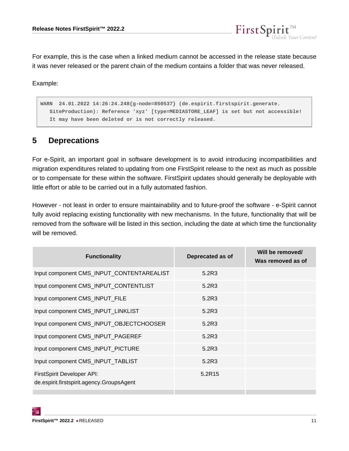For example, this is the case when a linked medium cannot be accessed in the release state because it was never released or the parent chain of the medium contains a folder that was never released.

FirstSpi

ck Your Content

Example:

**WARN 24.01.2022 14:26:24.248{g-node=850537} (de.espirit.firstspirit.generate. SiteProduction): Reference 'xyz' [type=MEDIASTORE\_LEAF] is set but not accessible! It may have been deleted or is not correctly released.**

### <span id="page-10-0"></span>**5 Deprecations**

For e-Spirit, an important goal in software development is to avoid introducing incompatibilities and migration expenditures related to updating from one FirstSpirit release to the next as much as possible or to compensate for these within the software. FirstSpirit updates should generally be deployable with little effort or able to be carried out in a fully automated fashion.

However - not least in order to ensure maintainability and to future-proof the software - e-Spirit cannot fully avoid replacing existing functionality with new mechanisms. In the future, functionality that will be removed from the software will be listed in this section, including the date at which time the functionality will be removed.

| <b>Functionality</b>                                                    | Deprecated as of | Will be removed/<br>Was removed as of |
|-------------------------------------------------------------------------|------------------|---------------------------------------|
| Input component CMS_INPUT_CONTENTAREALIST                               | 5.2R3            |                                       |
| Input component CMS_INPUT_CONTENTLIST                                   | 5.2R3            |                                       |
| Input component CMS_INPUT_FILE                                          | 5.2R3            |                                       |
| Input component CMS_INPUT_LINKLIST                                      | 5.2R3            |                                       |
| Input component CMS_INPUT_OBJECTCHOOSER                                 | 5.2R3            |                                       |
| Input component CMS_INPUT_PAGEREF                                       | 5.2R3            |                                       |
| Input component CMS_INPUT_PICTURE                                       | 5.2R3            |                                       |
| Input component CMS_INPUT_TABLIST                                       | 5.2R3            |                                       |
| FirstSpirit Developer API:<br>de.espirit.firstspirit.agency.GroupsAgent | 5.2R15           |                                       |
|                                                                         |                  |                                       |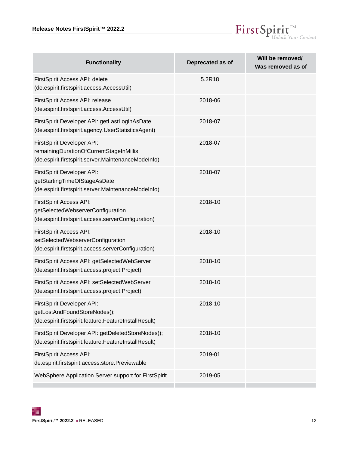

| <b>Functionality</b>                                                                                                         | Deprecated as of | Will be removed/<br>Was removed as of |
|------------------------------------------------------------------------------------------------------------------------------|------------------|---------------------------------------|
| FirstSpirit Access API: delete<br>(de.espirit.firstspirit.access.AccessUtil)                                                 | 5.2R18           |                                       |
| FirstSpirit Access API: release<br>(de.espirit.firstspirit.access.AccessUtil)                                                | 2018-06          |                                       |
| FirstSpirit Developer API: getLastLoginAsDate<br>(de.espirit.firstspirit.agency.UserStatisticsAgent)                         | 2018-07          |                                       |
| FirstSpirit Developer API:<br>remainingDurationOfCurrentStageInMillis<br>(de.espirit.firstspirit.server.MaintenanceModeInfo) | 2018-07          |                                       |
| FirstSpirit Developer API:<br>getStartingTimeOfStageAsDate<br>(de.espirit.firstspirit.server.MaintenanceModeInfo)            | 2018-07          |                                       |
| FirstSpirit Access API:<br>getSelectedWebserverConfiguration<br>(de.espirit.firstspirit.access.serverConfiguration)          | 2018-10          |                                       |
| FirstSpirit Access API:<br>setSelectedWebserverConfiguration<br>(de.espirit.firstspirit.access.serverConfiguration)          | 2018-10          |                                       |
| FirstSpirit Access API: getSelectedWebServer<br>(de.espirit.firstspirit.access.project.Project)                              | 2018-10          |                                       |
| FirstSpirit Access API: setSelectedWebServer<br>(de.espirit.firstspirit.access.project.Project)                              | 2018-10          |                                       |
| FirstSpirit Developer API:<br>getLostAndFoundStoreNodes();<br>(de.espirit.firstspirit.feature.FeatureInstallResult)          | 2018-10          |                                       |
| FirstSpirit Developer API: getDeletedStoreNodes();<br>(de.espirit.firstspirit.feature.FeatureInstallResult)                  | 2018-10          |                                       |
| FirstSpirit Access API:<br>de.espirit.firstspirit.access.store.Previewable                                                   | 2019-01          |                                       |
| WebSphere Application Server support for FirstSpirit                                                                         | 2019-05          |                                       |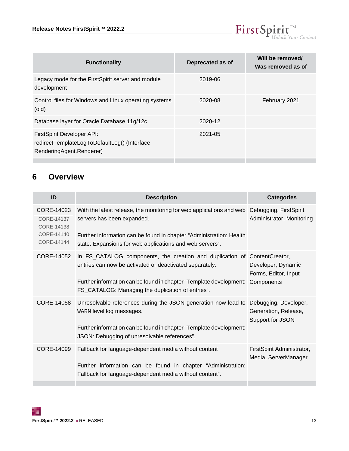

| <b>Functionality</b>                                                                                   | Deprecated as of | Will be removed/<br>Was removed as of |
|--------------------------------------------------------------------------------------------------------|------------------|---------------------------------------|
| Legacy mode for the FirstSpirit server and module<br>development                                       | 2019-06          |                                       |
| Control files for Windows and Linux operating systems<br>(old)                                         | 2020-08          | February 2021                         |
| Database layer for Oracle Database 11g/12c                                                             | 2020-12          |                                       |
| FirstSpirit Developer API:<br>redirectTemplateLogToDefaultLog() (Interface<br>RenderingAgent.Renderer) | 2021-05          |                                       |

### <span id="page-12-0"></span>**6 Overview**

<span id="page-12-4"></span><span id="page-12-3"></span><span id="page-12-2"></span><span id="page-12-1"></span>

| ID                                                                        | <b>Description</b>                                                                                                                                                                                                                                                         | <b>Categories</b>                                  |
|---------------------------------------------------------------------------|----------------------------------------------------------------------------------------------------------------------------------------------------------------------------------------------------------------------------------------------------------------------------|----------------------------------------------------|
| CORE-14023<br>CORE-14137<br>CORE-14138<br>CORE-14140<br><b>CORE-14144</b> | With the latest release, the monitoring for web applications and web Debugging, FirstSpirit<br>servers has been expanded.<br>Further information can be found in chapter "Administration: Health<br>state: Expansions for web applications and web servers".               | Administrator, Monitoring                          |
| CORE-14052                                                                | In FS_CATALOG components, the creation and duplication of ContentCreator,<br>entries can now be activated or deactivated separately.<br>Further information can be found in chapter "Template development: Components<br>FS_CATALOG: Managing the duplication of entries". | Developer, Dynamic<br>Forms, Editor, Input         |
| CORE-14058                                                                | Unresolvable references during the JSON generation now lead to Debugging, Developer,<br>WARN level log messages.<br>Further information can be found in chapter "Template development:<br>JSON: Debugging of unresolvable references".                                     | Generation, Release,<br>Support for JSON           |
| CORE-14099                                                                | Fallback for language-dependent media without content<br>Further information can be found in chapter "Administration:<br>Fallback for language-dependent media without content".                                                                                           | FirstSpirit Administrator,<br>Media, ServerManager |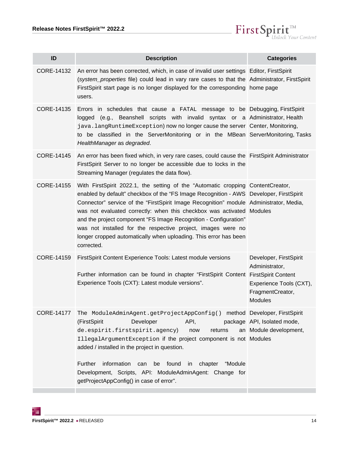

<span id="page-13-5"></span><span id="page-13-4"></span><span id="page-13-1"></span><span id="page-13-0"></span>

| ID                | <b>Description</b>                                                                                                                                                                                                                                                                                                                                                                                                                                                                                                                                                 | <b>Categories</b>                                                                                         |
|-------------------|--------------------------------------------------------------------------------------------------------------------------------------------------------------------------------------------------------------------------------------------------------------------------------------------------------------------------------------------------------------------------------------------------------------------------------------------------------------------------------------------------------------------------------------------------------------------|-----------------------------------------------------------------------------------------------------------|
| CORE-14132        | An error has been corrected, which, in case of invalid user settings Editor, FirstSpirit<br>(system_properties file) could lead in vary rare cases to that the Administrator, FirstSpirit<br>FirstSpirit start page is no longer displayed for the corresponding home page<br>users.                                                                                                                                                                                                                                                                               |                                                                                                           |
| CORE-14135        | Errors in schedules that cause a FATAL message to be Debugging, FirstSpirit<br>logged (e.g., Beanshell scripts with invalid syntax or a Administrator, Health<br>java.langRuntimeException) now no longer cause the server Center, Monitoring,<br>to be classified in the ServerMonitoring or in the MBean ServerMonitoring, Tasks<br>HealthManager as degraded.                                                                                                                                                                                                   |                                                                                                           |
| CORE-14145        | An error has been fixed which, in very rare cases, could cause the FirstSpirit Administrator<br>FirstSpirit Server to no longer be accessible due to locks in the<br>Streaming Manager (regulates the data flow).                                                                                                                                                                                                                                                                                                                                                  |                                                                                                           |
| CORE-14155        | With FirstSpirit 2022.1, the setting of the "Automatic cropping ContentCreator,<br>enabled by default" checkbox of the "FS Image Recognition - AWS Developer, FirstSpirit<br>Connector" service of the "FirstSpirit Image Recognition" module Administrator, Media,<br>was not evaluated correctly: when this checkbox was activated Modules<br>and the project component "FS Image Recognition - Configuration"<br>was not installed for the respective project, images were no<br>longer cropped automatically when uploading. This error has been<br>corrected. |                                                                                                           |
| CORE-14159        | FirstSpirit Content Experience Tools: Latest module versions<br>Further information can be found in chapter "FirstSpirit Content FirstSpirit Content<br>Experience Tools (CXT): Latest module versions".                                                                                                                                                                                                                                                                                                                                                           | Developer, FirstSpirit<br>Administrator,<br>Experience Tools (CXT),<br>FragmentCreator,<br><b>Modules</b> |
| <b>CORE-14177</b> | The ModuleAdminAgent.getProjectAppConfig() method Developer, FirstSpirit<br>(FirstSpirit<br>Developer<br>API,<br>de.espirit.firstspirit.agency)<br>returns<br>now<br>IllegalArgumentException if the project component is not Modules<br>added / installed in the project in question.<br>Further<br>information<br>found<br>"Module<br>be<br>chapter<br>can<br>in<br>Development, Scripts, API: ModuleAdminAgent: Change for<br>getProjectAppConfig() in case of error".                                                                                          | package   API, Isolated mode,<br>an Module development,                                                   |
|                   |                                                                                                                                                                                                                                                                                                                                                                                                                                                                                                                                                                    |                                                                                                           |

<span id="page-13-3"></span><span id="page-13-2"></span>τ.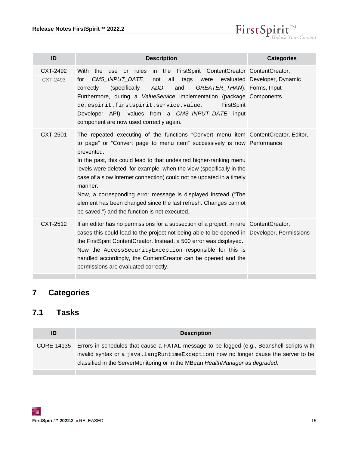$\label{eq: 3.1} First \textbf{Split}_{\textit{Unlock Your Content}}^{\textit{TM}}$ 

<span id="page-14-3"></span><span id="page-14-2"></span>

| ID                   | <b>Description</b>                                                                                                                                                                                                                                                                                                                                                                                                                                                                                                                                                                                | <b>Categories</b>                 |
|----------------------|---------------------------------------------------------------------------------------------------------------------------------------------------------------------------------------------------------------------------------------------------------------------------------------------------------------------------------------------------------------------------------------------------------------------------------------------------------------------------------------------------------------------------------------------------------------------------------------------------|-----------------------------------|
| CXT-2492<br>CXT-2493 | With the use or rules in the FirstSpirit ContentCreator ContentCreator,<br>CMS_INPUT_DATE,<br>not<br>all tags<br>for<br><b>ADD</b><br>and<br>GREATER_THAN). Forms, Input<br>correctly<br>(specifically<br>Furthermore, during a ValueService implementation (package Components<br>de.espirit.firstspirit.service.value,<br>FirstSpirit<br>Developer API), values from a CMS_INPUT_DATE input<br>component are now used correctly again.                                                                                                                                                          | were evaluated Developer, Dynamic |
| CXT-2501             | The repeated executing of the functions "Convert menu item ContentCreator, Editor,<br>to page" or "Convert page to menu item" successively is now Performance<br>prevented.<br>In the past, this could lead to that undesired higher-ranking menu<br>levels were deleted, for example, when the view (specifically in the<br>case of a slow Internet connection) could not be updated in a timely<br>manner.<br>Now, a corresponding error message is displayed instead ("The<br>element has been changed since the last refresh. Changes cannot<br>be saved.") and the function is not executed. |                                   |
| CXT-2512             | If an editor has no permissions for a subsection of a project, in rare Content Creator,<br>cases this could lead to the project not being able to be opened in Developer, Permissions<br>the FirstSpirit ContentCreator. Instead, a 500 error was displayed.<br>Now the AccessSecurityException responsible for this is<br>handled accordingly, the ContentCreator can be opened and the<br>permissions are evaluated correctly.                                                                                                                                                                  |                                   |

# <span id="page-14-4"></span><span id="page-14-0"></span>**7 Categories**

# <span id="page-14-1"></span>**7.1 Tasks**

| ID | <b>Description</b>                                                                                                                                                                                                                                                            |
|----|-------------------------------------------------------------------------------------------------------------------------------------------------------------------------------------------------------------------------------------------------------------------------------|
|    | CORE-14135 Errors in schedules that cause a FATAL message to be logged (e.g., Beanshell scripts with<br>invalid syntax or a java. langRuntimeException) now no longer cause the server to be<br>classified in the ServerMonitoring or in the MBean HealthManager as degraded. |
|    |                                                                                                                                                                                                                                                                               |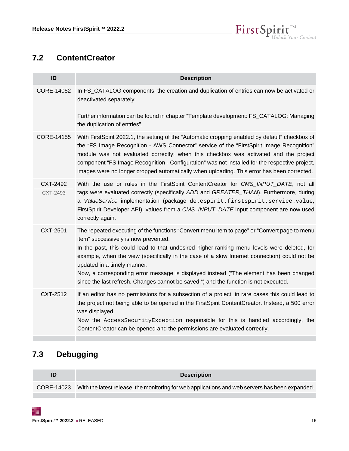

### <span id="page-15-0"></span>**7.2 ContentCreator**

| ID         | <b>Description</b>                                                                                                                                                                                                                                                                                                                                                                                                                                                                   |
|------------|--------------------------------------------------------------------------------------------------------------------------------------------------------------------------------------------------------------------------------------------------------------------------------------------------------------------------------------------------------------------------------------------------------------------------------------------------------------------------------------|
| CORE-14052 | In FS_CATALOG components, the creation and duplication of entries can now be activated or<br>deactivated separately.                                                                                                                                                                                                                                                                                                                                                                 |
|            | Further information can be found in chapter "Template development: FS_CATALOG: Managing<br>the duplication of entries".                                                                                                                                                                                                                                                                                                                                                              |
| CORE-14155 | With FirstSpirit 2022.1, the setting of the "Automatic cropping enabled by default" checkbox of<br>the "FS Image Recognition - AWS Connector" service of the "FirstSpirit Image Recognition"<br>module was not evaluated correctly: when this checkbox was activated and the project<br>component "FS Image Recognition - Configuration" was not installed for the respective project,<br>images were no longer cropped automatically when uploading. This error has been corrected. |
| CXT-2492   | With the use or rules in the FirstSpirit ContentCreator for CMS_INPUT_DATE, not all                                                                                                                                                                                                                                                                                                                                                                                                  |
| CXT-2493   | tags were evaluated correctly (specifically ADD and GREATER_THAN). Furthermore, during<br>a ValueService implementation (package de.espirit.firstspirit.service.value,<br>FirstSpirit Developer API), values from a CMS_INPUT_DATE input component are now used<br>correctly again.                                                                                                                                                                                                  |
| CXT-2501   | The repeated executing of the functions "Convert menu item to page" or "Convert page to menu<br>item" successively is now prevented.                                                                                                                                                                                                                                                                                                                                                 |
|            | In the past, this could lead to that undesired higher-ranking menu levels were deleted, for<br>example, when the view (specifically in the case of a slow Internet connection) could not be<br>updated in a timely manner.                                                                                                                                                                                                                                                           |
|            | Now, a corresponding error message is displayed instead ("The element has been changed<br>since the last refresh. Changes cannot be saved.") and the function is not executed.                                                                                                                                                                                                                                                                                                       |
| CXT-2512   | If an editor has no permissions for a subsection of a project, in rare cases this could lead to<br>the project not being able to be opened in the FirstSpirit ContentCreator. Instead, a 500 error<br>was displayed.                                                                                                                                                                                                                                                                 |
|            | Now the AccessSecurityException responsible for this is handled accordingly, the<br>ContentCreator can be opened and the permissions are evaluated correctly.                                                                                                                                                                                                                                                                                                                        |

# <span id="page-15-1"></span>**7.3 Debugging**

| ID | <b>Description</b>                                                                                         |
|----|------------------------------------------------------------------------------------------------------------|
|    | CORE-14023 With the latest release, the monitoring for web applications and web servers has been expanded. |
|    |                                                                                                            |

τ.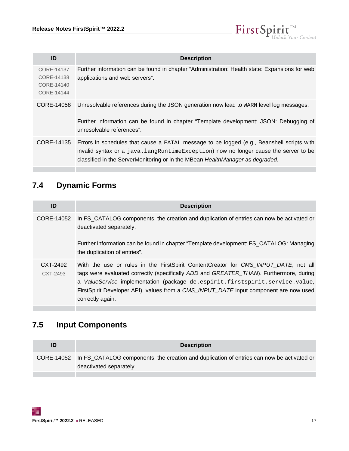

| ID                                                   | <b>Description</b>                                                                                                                                                                                                                                                  |
|------------------------------------------------------|---------------------------------------------------------------------------------------------------------------------------------------------------------------------------------------------------------------------------------------------------------------------|
| CORE-14137<br>CORE-14138<br>CORE-14140<br>CORE-14144 | Further information can be found in chapter "Administration: Health state: Expansions for web<br>applications and web servers".                                                                                                                                     |
| CORE-14058                                           | Unresolvable references during the JSON generation now lead to WARN level log messages.<br>Further information can be found in chapter "Template development: JSON: Debugging of<br>unresolvable references".                                                       |
| CORE-14135                                           | Errors in schedules that cause a FATAL message to be logged (e.g., Beanshell scripts with<br>invalid syntax or a $java.langRuntimeException)$ now no longer cause the server to be<br>classified in the ServerMonitoring or in the MBean HealthManager as degraded. |

# <span id="page-16-0"></span>**7.4 Dynamic Forms**

| ID                   | <b>Description</b>                                                                                                                                                                                                                                                                                                                                                         |
|----------------------|----------------------------------------------------------------------------------------------------------------------------------------------------------------------------------------------------------------------------------------------------------------------------------------------------------------------------------------------------------------------------|
| CORE-14052           | In FS_CATALOG components, the creation and duplication of entries can now be activated or<br>deactivated separately.<br>Further information can be found in chapter "Template development: FS CATALOG: Managing<br>the duplication of entries".                                                                                                                            |
| CXT-2492<br>CXT-2493 | With the use or rules in the FirstSpirit ContentCreator for CMS_INPUT_DATE, not all<br>tags were evaluated correctly (specifically ADD and GREATER_THAN). Furthermore, during<br>a ValueService implementation (package de.espirit.firstspirit.service.value,<br>FirstSpirit Developer API), values from a CMS_INPUT_DATE input component are now used<br>correctly again. |

# <span id="page-16-1"></span>**7.5 Input Components**

| CORE-14052 In FS_CATALOG components, the creation and duplication of entries can now be activated or |
|------------------------------------------------------------------------------------------------------|
|                                                                                                      |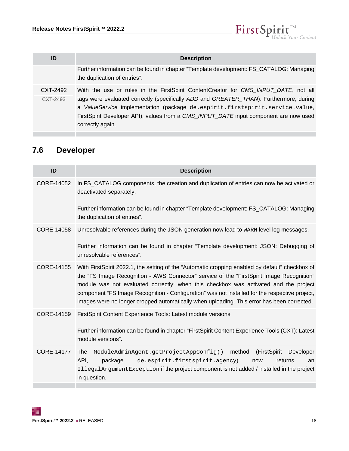

| ID                   | <b>Description</b>                                                                                                                                                                                                                                                                                                                                                         |
|----------------------|----------------------------------------------------------------------------------------------------------------------------------------------------------------------------------------------------------------------------------------------------------------------------------------------------------------------------------------------------------------------------|
|                      | Further information can be found in chapter "Template development: FS_CATALOG: Managing<br>the duplication of entries".                                                                                                                                                                                                                                                    |
| CXT-2492<br>CXT-2493 | With the use or rules in the FirstSpirit ContentCreator for CMS_INPUT_DATE, not all<br>tags were evaluated correctly (specifically ADD and GREATER_THAN). Furthermore, during<br>a ValueService implementation (package de.espirit.firstspirit.service.value,<br>FirstSpirit Developer API), values from a CMS_INPUT_DATE input component are now used<br>correctly again. |

# <span id="page-17-0"></span>**7.6 Developer**

| ID                | <b>Description</b>                                                                                                                                                                                                                                                                                                                                                                                                                                                                   |
|-------------------|--------------------------------------------------------------------------------------------------------------------------------------------------------------------------------------------------------------------------------------------------------------------------------------------------------------------------------------------------------------------------------------------------------------------------------------------------------------------------------------|
| CORE-14052        | In FS_CATALOG components, the creation and duplication of entries can now be activated or<br>deactivated separately.                                                                                                                                                                                                                                                                                                                                                                 |
|                   | Further information can be found in chapter "Template development: FS_CATALOG: Managing<br>the duplication of entries".                                                                                                                                                                                                                                                                                                                                                              |
| CORE-14058        | Unresolvable references during the JSON generation now lead to WARN level log messages.                                                                                                                                                                                                                                                                                                                                                                                              |
|                   | Further information can be found in chapter "Template development: JSON: Debugging of<br>unresolvable references".                                                                                                                                                                                                                                                                                                                                                                   |
| CORE-14155        | With FirstSpirit 2022.1, the setting of the "Automatic cropping enabled by default" checkbox of<br>the "FS Image Recognition - AWS Connector" service of the "FirstSpirit Image Recognition"<br>module was not evaluated correctly: when this checkbox was activated and the project<br>component "FS Image Recognition - Configuration" was not installed for the respective project,<br>images were no longer cropped automatically when uploading. This error has been corrected. |
| CORE-14159        | FirstSpirit Content Experience Tools: Latest module versions                                                                                                                                                                                                                                                                                                                                                                                                                         |
|                   | Further information can be found in chapter "FirstSpirit Content Experience Tools (CXT): Latest<br>module versions".                                                                                                                                                                                                                                                                                                                                                                 |
| <b>CORE-14177</b> | method<br>(FirstSpirit<br>Developer<br>ModuleAdminAgent.getProjectAppConfig()<br>The<br>API,<br>package<br>de.espirit.firstspirit.agency)<br>now<br>returns<br>an<br>IllegalArgumentException if the project component is not added / installed in the project<br>in question.                                                                                                                                                                                                       |
|                   |                                                                                                                                                                                                                                                                                                                                                                                                                                                                                      |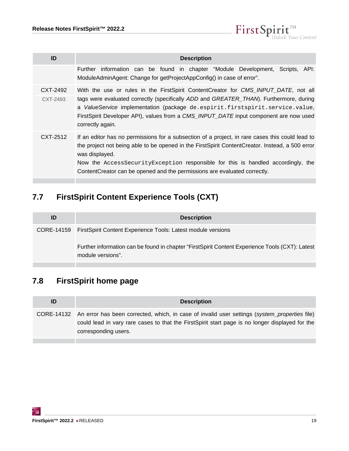$\textbf{FirstSplit}_{\textit{Unlock Your Content}}^{\textit{TM}}$ 

| ID                   | <b>Description</b>                                                                                                                                                                                                                                                                                                                                                                    |
|----------------------|---------------------------------------------------------------------------------------------------------------------------------------------------------------------------------------------------------------------------------------------------------------------------------------------------------------------------------------------------------------------------------------|
|                      | Further information can be found in chapter "Module Development, Scripts, API:<br>ModuleAdminAgent: Change for getProjectAppConfig() in case of error".                                                                                                                                                                                                                               |
| CXT-2492<br>CXT-2493 | With the use or rules in the FirstSpirit ContentCreator for CMS_INPUT_DATE, not all<br>tags were evaluated correctly (specifically ADD and GREATER_THAN). Furthermore, during<br>a ValueService implementation (package de.espirit.firstspirit.service.value,<br>FirstSpirit Developer API), values from a CMS_INPUT_DATE input component are now used<br>correctly again.            |
| CXT-2512             | If an editor has no permissions for a subsection of a project, in rare cases this could lead to<br>the project not being able to be opened in the FirstSpirit ContentCreator. Instead, a 500 error<br>was displayed.<br>Now the AccessSecurityException responsible for this is handled accordingly, the<br>ContentCreator can be opened and the permissions are evaluated correctly. |

# <span id="page-18-0"></span>**7.7 FirstSpirit Content Experience Tools (CXT)**

| ID | <b>Description</b>                                                                                                   |
|----|----------------------------------------------------------------------------------------------------------------------|
|    | CORE-14159 FirstSpirit Content Experience Tools: Latest module versions                                              |
|    | Further information can be found in chapter "FirstSpirit Content Experience Tools (CXT): Latest<br>module versions". |

# <span id="page-18-1"></span>**7.8 FirstSpirit home page**

| CORE-14132 An error has been corrected, which, in case of invalid user settings (system_properties file)<br>could lead in vary rare cases to that the First Spirit start page is no longer displayed for the<br>corresponding users. |  |
|--------------------------------------------------------------------------------------------------------------------------------------------------------------------------------------------------------------------------------------|--|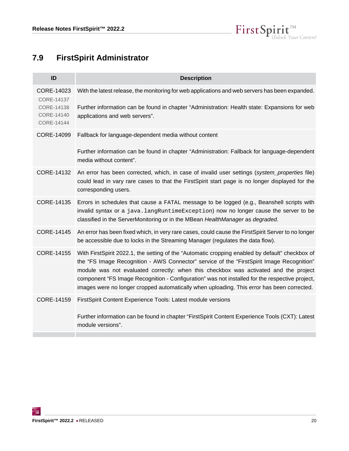

# <span id="page-19-0"></span>**7.9 FirstSpirit Administrator**

| ID                                                                 | <b>Description</b>                                                                                                                                                                                                                                                                                                                                                                                                                                                                   |
|--------------------------------------------------------------------|--------------------------------------------------------------------------------------------------------------------------------------------------------------------------------------------------------------------------------------------------------------------------------------------------------------------------------------------------------------------------------------------------------------------------------------------------------------------------------------|
| CORE-14023<br>CORE-14137<br>CORE-14138<br>CORE-14140<br>CORE-14144 | With the latest release, the monitoring for web applications and web servers has been expanded.<br>Further information can be found in chapter "Administration: Health state: Expansions for web<br>applications and web servers".                                                                                                                                                                                                                                                   |
| CORE-14099                                                         | Fallback for language-dependent media without content<br>Further information can be found in chapter "Administration: Fallback for language-dependent<br>media without content".                                                                                                                                                                                                                                                                                                     |
| CORE-14132                                                         | An error has been corrected, which, in case of invalid user settings (system_properties file)<br>could lead in vary rare cases to that the FirstSpirit start page is no longer displayed for the<br>corresponding users.                                                                                                                                                                                                                                                             |
| CORE-14135                                                         | Errors in schedules that cause a FATAL message to be logged (e.g., Beanshell scripts with<br>invalid syntax or a java. langRuntimeException) now no longer cause the server to be<br>classified in the ServerMonitoring or in the MBean HealthManager as degraded.                                                                                                                                                                                                                   |
| CORE-14145                                                         | An error has been fixed which, in very rare cases, could cause the FirstSpirit Server to no longer<br>be accessible due to locks in the Streaming Manager (regulates the data flow).                                                                                                                                                                                                                                                                                                 |
| CORE-14155                                                         | With FirstSpirit 2022.1, the setting of the "Automatic cropping enabled by default" checkbox of<br>the "FS Image Recognition - AWS Connector" service of the "FirstSpirit Image Recognition"<br>module was not evaluated correctly: when this checkbox was activated and the project<br>component "FS Image Recognition - Configuration" was not installed for the respective project,<br>images were no longer cropped automatically when uploading. This error has been corrected. |
| CORE-14159                                                         | FirstSpirit Content Experience Tools: Latest module versions                                                                                                                                                                                                                                                                                                                                                                                                                         |
|                                                                    | Further information can be found in chapter "FirstSpirit Content Experience Tools (CXT): Latest<br>module versions".                                                                                                                                                                                                                                                                                                                                                                 |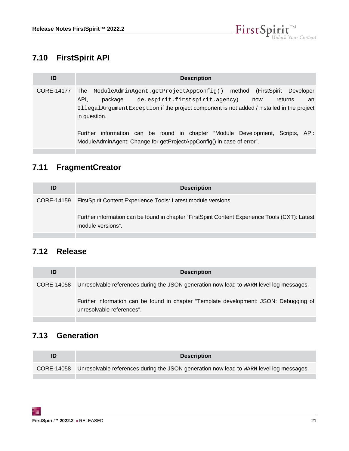

# <span id="page-20-0"></span>**7.10 FirstSpirit API**

| ID         | <b>Description</b>                                                                                                                                                                                                                                          |
|------------|-------------------------------------------------------------------------------------------------------------------------------------------------------------------------------------------------------------------------------------------------------------|
| CORE-14177 | (FirstSpirit<br>Developer<br>ModuleAdminAgent.getProjectAppConfig() method<br>The<br>API.<br>de.espirit.firstspirit.agency)<br>package<br>returns<br>now<br>an<br>IllegalArgumentException if the project component is not added / installed in the project |
|            | in question.<br>information can be found in chapter "Module Development, Scripts, API:<br>Further<br>ModuleAdminAgent: Change for getProjectAppConfig() in case of error".                                                                                  |

# <span id="page-20-1"></span>**7.11 FragmentCreator**

| ID | <b>Description</b>                                                                                                   |
|----|----------------------------------------------------------------------------------------------------------------------|
|    | CORE-14159 FirstSpirit Content Experience Tools: Latest module versions                                              |
|    | Further information can be found in chapter "FirstSpirit Content Experience Tools (CXT): Latest<br>module versions". |

### <span id="page-20-2"></span>**7.12 Release**

| ID | <b>Description</b>                                                                                                 |
|----|--------------------------------------------------------------------------------------------------------------------|
|    | CORE-14058 Unresolvable references during the JSON generation now lead to WARN level log messages.                 |
|    | Further information can be found in chapter "Template development: JSON: Debugging of<br>unresolvable references". |

### <span id="page-20-3"></span>**7.13 Generation**

| ID | <b>Description</b>                                                                                 |
|----|----------------------------------------------------------------------------------------------------|
|    | CORE-14058 Unresolvable references during the JSON generation now lead to WARN level log messages. |
|    |                                                                                                    |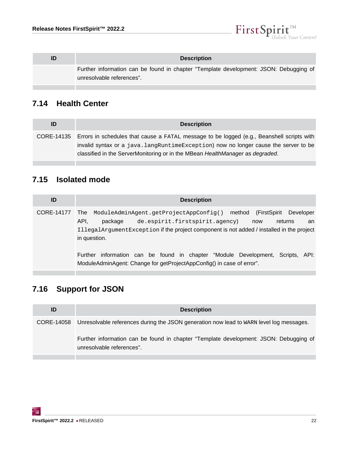

| <b>Description</b>                                                                                                 |
|--------------------------------------------------------------------------------------------------------------------|
| Further information can be found in chapter "Template development: JSON: Debugging of<br>unresolvable references". |

### <span id="page-21-0"></span>**7.14 Health Center**

| ID | <b>Description</b>                                                                                                                                                                                                                                                           |
|----|------------------------------------------------------------------------------------------------------------------------------------------------------------------------------------------------------------------------------------------------------------------------------|
|    | CORE-14135 Errors in schedules that cause a FATAL message to be logged (e.g., Beanshell scripts with<br>invalid syntax or a java.langRuntimeException) now no longer cause the server to be<br>classified in the ServerMonitoring or in the MBean HealthManager as degraded. |

### <span id="page-21-1"></span>**7.15 Isolated mode**

| ID         | <b>Description</b>                                                                                                                                                                                                                                                          |
|------------|-----------------------------------------------------------------------------------------------------------------------------------------------------------------------------------------------------------------------------------------------------------------------------|
| CORE-14177 | ModuleAdminAgent.getProjectAppConfig() method<br>(FirstSpirit<br>Developer<br>The<br>API.<br>de.espirit.firstspirit.agency)<br>package<br>returns<br>now<br>an<br>IllegalArgumentException if the project component is not added / installed in the project<br>in question. |
|            | Further information can be found in chapter "Module Development,<br>Scripts. API:<br>ModuleAdminAgent: Change for getProjectAppConfig() in case of error".                                                                                                                  |

# <span id="page-21-2"></span>**7.16 Support for JSON**

| ID | <b>Description</b>                                                                                                 |
|----|--------------------------------------------------------------------------------------------------------------------|
|    | CORE-14058 Unresolvable references during the JSON generation now lead to WARN level log messages.                 |
|    | Further information can be found in chapter "Template development: JSON: Debugging of<br>unresolvable references". |
|    |                                                                                                                    |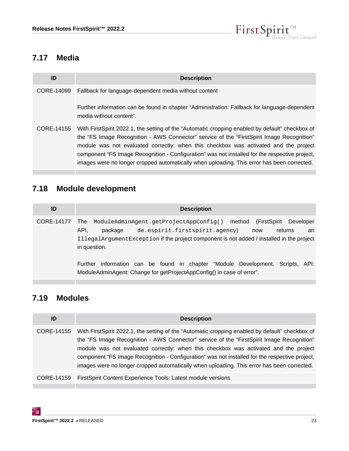

### <span id="page-22-0"></span>**7.17 Media**

| ID         | <b>Description</b>                                                                                                                                                                                                                                                                                                                                                                                                                                                                    |
|------------|---------------------------------------------------------------------------------------------------------------------------------------------------------------------------------------------------------------------------------------------------------------------------------------------------------------------------------------------------------------------------------------------------------------------------------------------------------------------------------------|
| CORE-14099 | Fallback for language-dependent media without content                                                                                                                                                                                                                                                                                                                                                                                                                                 |
|            | Further information can be found in chapter "Administration: Fallback for language-dependent<br>media without content".                                                                                                                                                                                                                                                                                                                                                               |
| CORE-14155 | With FirstSpirit 2022.1, the setting of the "Automatic cropping enabled by default" checkbox of<br>the "FS Image Recognition - AWS Connector" service of the "First Spirit Image Recognition"<br>module was not evaluated correctly: when this checkbox was activated and the project<br>component "FS Image Recognition - Configuration" was not installed for the respective project,<br>images were no longer cropped automatically when uploading. This error has been corrected. |

# <span id="page-22-1"></span>**7.18 Module development**

| ID         | <b>Description</b>                                                                                                                                                                                                                                                          |
|------------|-----------------------------------------------------------------------------------------------------------------------------------------------------------------------------------------------------------------------------------------------------------------------------|
| CORE-14177 | Developer<br>(FirstSpirit<br>ModuleAdminAgent.getProjectAppConfig() method<br>The<br>API.<br>de.espirit.firstspirit.agency)<br>package<br>returns<br>now<br>an<br>IllegalArgumentException if the project component is not added / installed in the project<br>in question. |
|            | information can be found in chapter "Module Development, Scripts, API:<br>Further<br>ModuleAdminAgent: Change for getProjectAppConfig() in case of error".                                                                                                                  |

## <span id="page-22-2"></span>**7.19 Modules**

| <b>Description</b>                                                                                                                                                                                                                                                                                                                                                                                                                                                                   |
|--------------------------------------------------------------------------------------------------------------------------------------------------------------------------------------------------------------------------------------------------------------------------------------------------------------------------------------------------------------------------------------------------------------------------------------------------------------------------------------|
| With FirstSpirit 2022.1, the setting of the "Automatic cropping enabled by default" checkbox of<br>the "FS Image Recognition - AWS Connector" service of the "FirstSpirit Image Recognition"<br>module was not evaluated correctly: when this checkbox was activated and the project<br>component "FS Image Recognition - Configuration" was not installed for the respective project,<br>images were no longer cropped automatically when uploading. This error has been corrected. |
| FirstSpirit Content Experience Tools: Latest module versions                                                                                                                                                                                                                                                                                                                                                                                                                         |
|                                                                                                                                                                                                                                                                                                                                                                                                                                                                                      |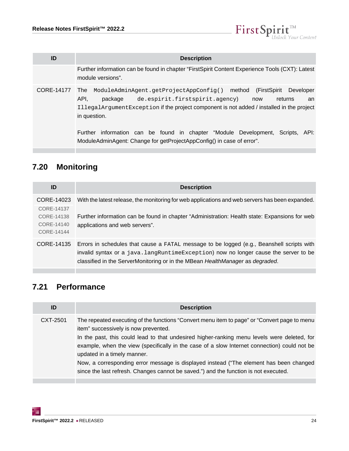$\mathbf{FirstSplit}_{\mathit{Unlock Your Content}}^{\mathit{TM}}$ 

| ID         | <b>Description</b>                                                                                                                                                                                                                                                                                                                                                                                                                               |
|------------|--------------------------------------------------------------------------------------------------------------------------------------------------------------------------------------------------------------------------------------------------------------------------------------------------------------------------------------------------------------------------------------------------------------------------------------------------|
|            | Further information can be found in chapter "FirstSpirit Content Experience Tools (CXT): Latest<br>module versions".                                                                                                                                                                                                                                                                                                                             |
| CORE-14177 | Developer<br>ModuleAdminAgent.getProjectAppConfig() method<br>(FirstSpirit<br><b>The</b><br>API.<br>package<br>de.espirit.firstspirit.agency)<br>returns<br>now<br>an<br>IllegalArgumentException if the project component is not added / installed in the project<br>in question.<br>Further information can be found in chapter "Module Development, Scripts,<br>API:<br>ModuleAdminAgent: Change for getProjectAppConfig() in case of error". |
|            |                                                                                                                                                                                                                                                                                                                                                                                                                                                  |

# <span id="page-23-0"></span>**7.20 Monitoring**

| ID                                     | <b>Description</b>                                                                                                                                                                                                                                                |
|----------------------------------------|-------------------------------------------------------------------------------------------------------------------------------------------------------------------------------------------------------------------------------------------------------------------|
| CORE-14023<br>CORE-14137               | With the latest release, the monitoring for web applications and web servers has been expanded.                                                                                                                                                                   |
| CORE-14138<br>CORE-14140<br>CORF-14144 | Further information can be found in chapter "Administration: Health state: Expansions for web<br>applications and web servers".                                                                                                                                   |
| CORE-14135                             | Errors in schedules that cause a FATAL message to be logged (e.g., Beanshell scripts with<br>invalid syntax or a java.langRuntimeException) now no longer cause the server to be<br>classified in the ServerMonitoring or in the MBean HealthManager as degraded. |

# <span id="page-23-1"></span>**7.21 Performance**

| ID       | <b>Description</b>                                                                                                                                                                                                                                                                                                                                                                                                                                                                                                                                   |
|----------|------------------------------------------------------------------------------------------------------------------------------------------------------------------------------------------------------------------------------------------------------------------------------------------------------------------------------------------------------------------------------------------------------------------------------------------------------------------------------------------------------------------------------------------------------|
| CXT-2501 | The repeated executing of the functions "Convert menu item to page" or "Convert page to menu<br>item" successively is now prevented.<br>In the past, this could lead to that undesired higher-ranking menu levels were deleted, for<br>example, when the view (specifically in the case of a slow Internet connection) could not be<br>updated in a timely manner.<br>Now, a corresponding error message is displayed instead ("The element has been changed<br>since the last refresh. Changes cannot be saved.") and the function is not executed. |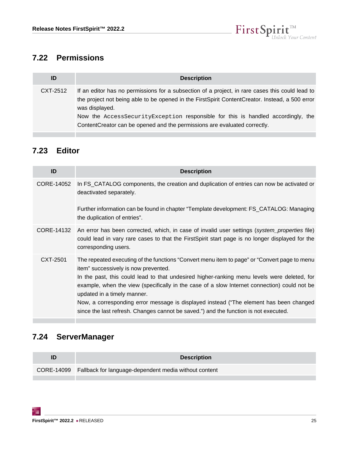

### <span id="page-24-0"></span>**7.22 Permissions**

| ID       | <b>Description</b>                                                                                                                                                                                                                                                                                                                                                                    |
|----------|---------------------------------------------------------------------------------------------------------------------------------------------------------------------------------------------------------------------------------------------------------------------------------------------------------------------------------------------------------------------------------------|
| CXT-2512 | If an editor has no permissions for a subsection of a project, in rare cases this could lead to<br>the project not being able to be opened in the FirstSpirit ContentCreator. Instead, a 500 error<br>was displayed.<br>Now the AccessSecurityException responsible for this is handled accordingly, the<br>ContentCreator can be opened and the permissions are evaluated correctly. |

# <span id="page-24-1"></span>**7.23 Editor**

| ID         | <b>Description</b>                                                                                                                                                                                                                                                                                                                                                                                                                                                                                                                                   |
|------------|------------------------------------------------------------------------------------------------------------------------------------------------------------------------------------------------------------------------------------------------------------------------------------------------------------------------------------------------------------------------------------------------------------------------------------------------------------------------------------------------------------------------------------------------------|
| CORE-14052 | In FS_CATALOG components, the creation and duplication of entries can now be activated or<br>deactivated separately.                                                                                                                                                                                                                                                                                                                                                                                                                                 |
|            | Further information can be found in chapter "Template development: FS_CATALOG: Managing<br>the duplication of entries".                                                                                                                                                                                                                                                                                                                                                                                                                              |
|            | CORE-14132 An error has been corrected, which, in case of invalid user settings (system_properties file)<br>could lead in vary rare cases to that the First Spirit start page is no longer displayed for the<br>corresponding users.                                                                                                                                                                                                                                                                                                                 |
| CXT-2501   | The repeated executing of the functions "Convert menu item to page" or "Convert page to menu<br>item" successively is now prevented.<br>In the past, this could lead to that undesired higher-ranking menu levels were deleted, for<br>example, when the view (specifically in the case of a slow Internet connection) could not be<br>updated in a timely manner.<br>Now, a corresponding error message is displayed instead ("The element has been changed<br>since the last refresh. Changes cannot be saved.") and the function is not executed. |

# <span id="page-24-2"></span>**7.24 ServerManager**

| ID | <b>Description</b>                                               |
|----|------------------------------------------------------------------|
|    | CORE-14099 Fallback for language-dependent media without content |